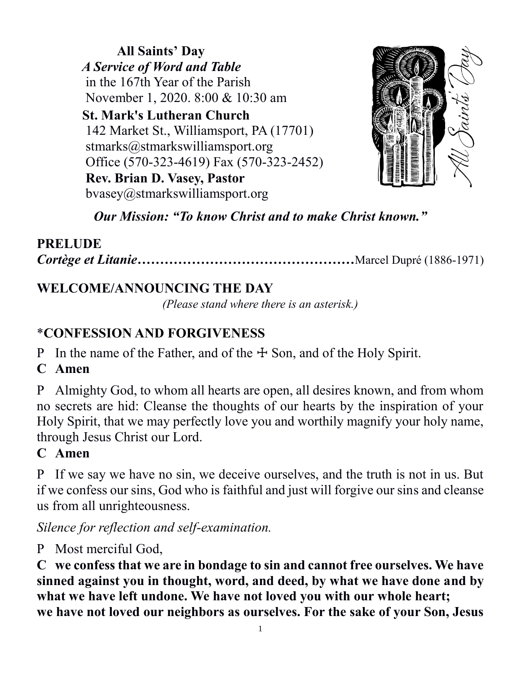**All Saints' Day**  *A Service of Word and Table* in the 167th Year of the Parish November 1, 2020. 8:00 & 10:30 am  **St. Mark's Lutheran Church** 142 Market St., Williamsport, PA (17701) [stmarks@stmarkswilliamsport.org](mailto:stmarks@stmarkswilliamsport.org) Office (570-323-4619) Fax (570-323-2452)

 **Rev. Brian D. Vasey, Pastor** [bvasey@stmarkswilliamsport.org](mailto:bvasey@stmarkswilliamsport.org)



*Our Mission: "To know Christ and to make Christ known."*

### **PRELUDE**

*Cortège et Litanie…………………………………………*Marcel Dupré (1886-1971)

## **WELCOME/ANNOUNCING THE DAY**

*(Please stand where there is an asterisk.)*

## \***CONFESSION AND FORGIVENESS**

P In the name of the Father, and of the  $\pm$  Son, and of the Holy Spirit.

**C Amen**

P Almighty God, to whom all hearts are open, all desires known, and from whom no secrets are hid: Cleanse the thoughts of our hearts by the inspiration of your Holy Spirit, that we may perfectly love you and worthily magnify your holy name, through Jesus Christ our Lord.

### **C Amen**

P If we say we have no sin, we deceive ourselves, and the truth is not in us. But if we confess our sins, God who is faithful and just will forgive our sins and cleanse us from all unrighteousness.

*Silence for reflection and self-examination.*

P Most merciful God,

**C we confess that we are in bondage to sin and cannot free ourselves. We have sinned against you in thought, word, and deed, by what we have done and by what we have left undone. We have not loved you with our whole heart; we have not loved our neighbors as ourselves. For the sake of your Son, Jesus**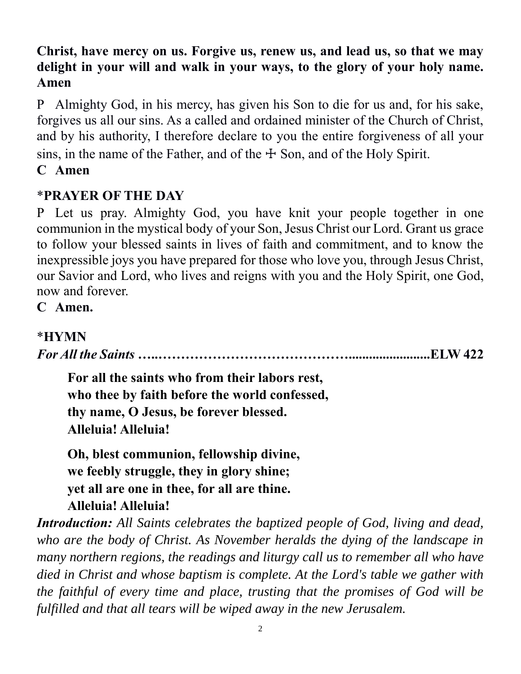### **Christ, have mercy on us. Forgive us, renew us, and lead us, so that we may delight in your will and walk in your ways, to the glory of your holy name. Amen**

P Almighty God, in his mercy, has given his Son to die for us and, for his sake, forgives us all our sins. As a called and ordained minister of the Church of Christ, and by his authority, I therefore declare to you the entire forgiveness of all your sins, in the name of the Father, and of the  $\pm$  Son, and of the Holy Spirit. **C Amen**

## \***PRAYER OF THE DAY**

P Let us pray. Almighty God, you have knit your people together in one communion in the mystical body of your Son, Jesus Christ our Lord. Grant us grace to follow your blessed saints in lives of faith and commitment, and to know the inexpressible joys you have prepared for those who love you, through Jesus Christ, our Savior and Lord, who lives and reigns with you and the Holy Spirit, one God, now and forever.

**C Amen.**

### \***HYMN**

*For All the Saints* **…..……………………………………........................ELW 422**

**For all the saints who from their labors rest, who thee by faith before the world confessed, thy name, O Jesus, be forever blessed. Alleluia! Alleluia!** 

**Oh, blest communion, fellowship divine, we feebly struggle, they in glory shine; yet all are one in thee, for all are thine. Alleluia! Alleluia!** 

*Introduction: All Saints celebrates the baptized people of God, living and dead, who are the body of Christ. As November heralds the dying of the landscape in many northern regions, the readings and liturgy call us to remember all who have died in Christ and whose baptism is complete. At the Lord's table we gather with the faithful of every time and place, trusting that the promises of God will be fulfilled and that all tears will be wiped away in the new Jerusalem.*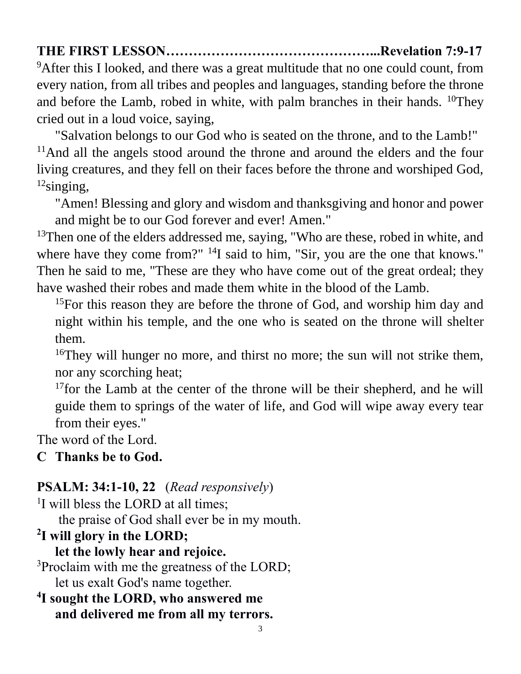## **THE FIRST LESSON………………………………………...Revelation 7:9-17**

<sup>9</sup>After this I looked, and there was a great multitude that no one could count, from every nation, from all tribes and peoples and languages, standing before the throne and before the Lamb, robed in white, with palm branches in their hands.  $^{10}$ They cried out in a loud voice, saying,

"Salvation belongs to our God who is seated on the throne, and to the Lamb!" <sup>11</sup>And all the angels stood around the throne and around the elders and the four living creatures, and they fell on their faces before the throne and worshiped God,  $12$ singing,

"Amen! Blessing and glory and wisdom and thanksgiving and honor and power and might be to our God forever and ever! Amen."

<sup>13</sup>Then one of the elders addressed me, saying, "Who are these, robed in white, and where have they come from?" <sup>14</sup>I said to him, "Sir, you are the one that knows." Then he said to me, "These are they who have come out of the great ordeal; they have washed their robes and made them white in the blood of the Lamb.

<sup>15</sup>For this reason they are before the throne of God, and worship him day and night within his temple, and the one who is seated on the throne will shelter them.

<sup>16</sup>They will hunger no more, and thirst no more; the sun will not strike them, nor any scorching heat;

<sup>17</sup>for the Lamb at the center of the throne will be their shepherd, and he will guide them to springs of the water of life, and God will wipe away every tear from their eyes."

The word of the Lord.

### **C Thanks be to God.**

## **PSALM: 34:1-10, 22** (*Read responsively*)

<sup>1</sup>I will bless the LORD at all times; the praise of God shall ever be in my mouth.

# **2 I will glory in the LORD;**

**let the lowly hear and rejoice.** 

<sup>3</sup>Proclaim with me the greatness of the LORD; let us exalt God's name together.

```
4
I sought the LORD, who answered me
  and delivered me from all my terrors.
```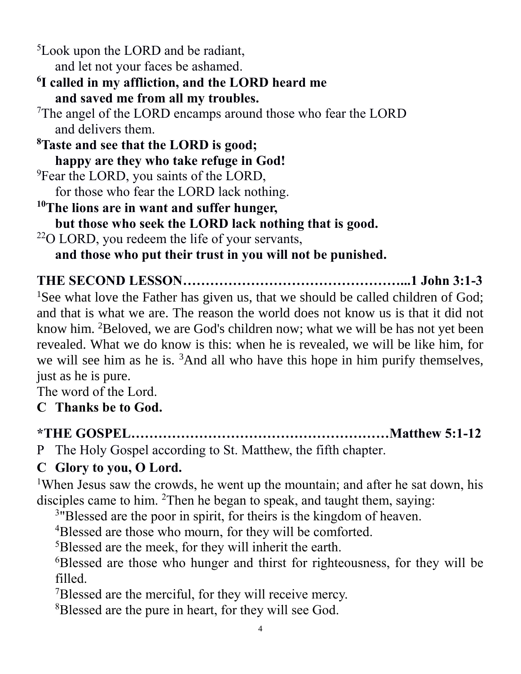<sup>5</sup>Look upon the LORD and be radiant, and let not your faces be ashamed.

**6 I called in my affliction, and the LORD heard me and saved me from all my troubles.** 

<sup>7</sup>The angel of the LORD encamps around those who fear the LORD and delivers them.

**<sup>8</sup>Taste and see that the LORD is good; happy are they who take refuge in God!** <sup>9</sup>Fear the LORD, you saints of the LORD, for those who fear the LORD lack nothing. **<sup>10</sup>The lions are in want and suffer hunger, but those who seek the LORD lack nothing that is good.**

<sup>22</sup>O LORD, you redeem the life of your servants,

**and those who put their trust in you will not be punished.** 

**THE SECOND LESSON…………………………………………...1 John 3:1-3**

<sup>1</sup>See what love the Father has given us, that we should be called children of God; and that is what we are. The reason the world does not know us is that it did not know him. <sup>2</sup>Beloved, we are God's children now; what we will be has not yet been revealed. What we do know is this: when he is revealed, we will be like him, for we will see him as he is. <sup>3</sup>And all who have this hope in him purify themselves, just as he is pure.

The word of the Lord.

**C Thanks be to God.**

**\*THE GOSPEL…………………………………………………Matthew 5:1-12**

P The Holy Gospel according to St. Matthew, the fifth chapter.

## **C Glory to you, O Lord.**

<sup>1</sup>When Jesus saw the crowds, he went up the mountain; and after he sat down, his disciples came to him. <sup>2</sup>Then he began to speak, and taught them, saying:

<sup>3</sup>"Blessed are the poor in spirit, for theirs is the kingdom of heaven.

<sup>4</sup>Blessed are those who mourn, for they will be comforted.

<sup>5</sup>Blessed are the meek, for they will inherit the earth.

<sup>6</sup>Blessed are those who hunger and thirst for righteousness, for they will be filled.

<sup>7</sup>Blessed are the merciful, for they will receive mercy.

<sup>8</sup>Blessed are the pure in heart, for they will see God.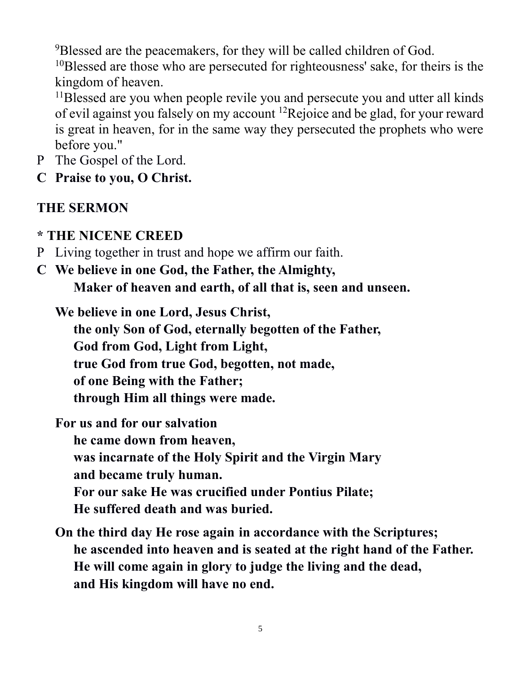<sup>9</sup>Blessed are the peacemakers, for they will be called children of God.

<sup>10</sup>Blessed are those who are persecuted for righteousness' sake, for theirs is the kingdom of heaven.

<sup>11</sup>Blessed are you when people revile you and persecute you and utter all kinds of evil against you falsely on my account <sup>12</sup>Rejoice and be glad, for your reward is great in heaven, for in the same way they persecuted the prophets who were before you."

- P The Gospel of the Lord.
- **C Praise to you, O Christ.**

## **THE SERMON**

### **\* THE NICENE CREED**

- P Living together in trust and hope we affirm our faith.
- **C We believe in one God, the Father, the Almighty, Maker of heaven and earth, of all that is, seen and unseen.**

**We believe in one Lord, Jesus Christ, the only Son of God, eternally begotten of the Father, God from God, Light from Light, true God from true God, begotten, not made, of one Being with the Father; through Him all things were made.**

**For us and for our salvation he came down from heaven, was incarnate of the Holy Spirit and the Virgin Mary and became truly human. For our sake He was crucified under Pontius Pilate; He suffered death and was buried.**

**On the third day He rose again in accordance with the Scriptures; he ascended into heaven and is seated at the right hand of the Father. He will come again in glory to judge the living and the dead, and His kingdom will have no end.**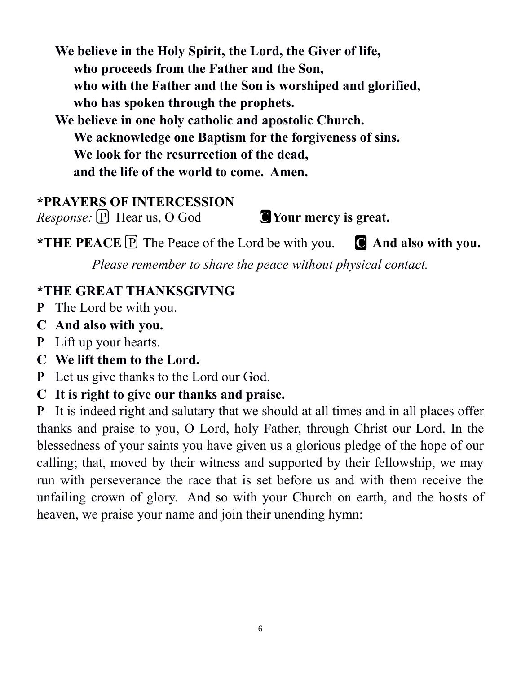**We believe in the Holy Spirit, the Lord, the Giver of life, who proceeds from the Father and the Son, who with the Father and the Son is worshiped and glorified, who has spoken through the prophets.**

**We believe in one holy catholic and apostolic Church. We acknowledge one Baptism for the forgiveness of sins. We look for the resurrection of the dead, and the life of the world to come. Amen.**

# **\*PRAYERS OF INTERCESSION**

*Response:*  $\boxed{P}$  Hear us, O God **C** Your mercy is great.

**\*THE PEACE** PThe Peace of the Lord be with you. **C And also with you.**

*Please remember to share the peace without physical contact.*

## **\*THE GREAT THANKSGIVING**

- P The Lord be with you.
- **C And also with you.**
- P Lift up your hearts.
- **C We lift them to the Lord.**
- P Let us give thanks to the Lord our God.
- **C It is right to give our thanks and praise.**

P It is indeed right and salutary that we should at all times and in all places offer thanks and praise to you, O Lord, holy Father, through Christ our Lord. In the blessedness of your saints you have given us a glorious pledge of the hope of our calling; that, moved by their witness and supported by their fellowship, we may run with perseverance the race that is set before us and with them receive the unfailing crown of glory. And so with your Church on earth, and the hosts of heaven, we praise your name and join their unending hymn: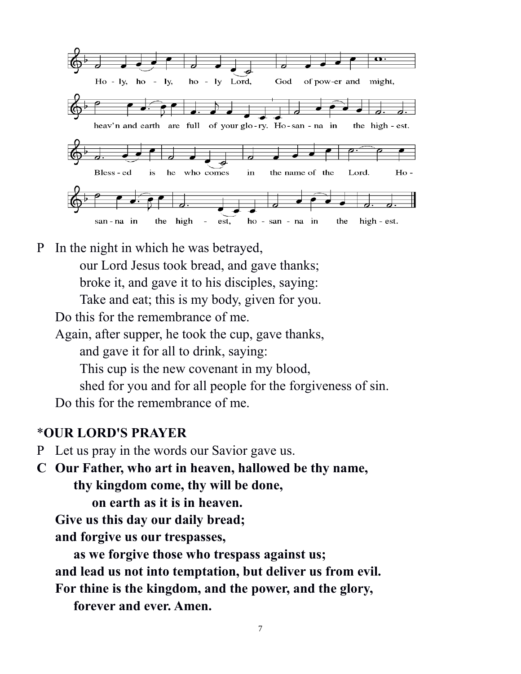

P In the night in which he was betrayed, our Lord Jesus took bread, and gave thanks; broke it, and gave it to his disciples, saying: Take and eat; this is my body, given for you.

Do this for the remembrance of me.

Again, after supper, he took the cup, gave thanks,

and gave it for all to drink, saying:

This cup is the new covenant in my blood,

shed for you and for all people for the forgiveness of sin.

Do this for the remembrance of me.

#### \***OUR LORD'S PRAYER**

P Let us pray in the words our Savior gave us.

**C Our Father, who art in heaven, hallowed be thy name, thy kingdom come, thy will be done,**

**on earth as it is in heaven.** 

**Give us this day our daily bread;** 

**and forgive us our trespasses,** 

**as we forgive those who trespass against us; and lead us not into temptation, but deliver us from evil. For thine is the kingdom, and the power, and the glory,** 

**forever and ever. Amen.**

7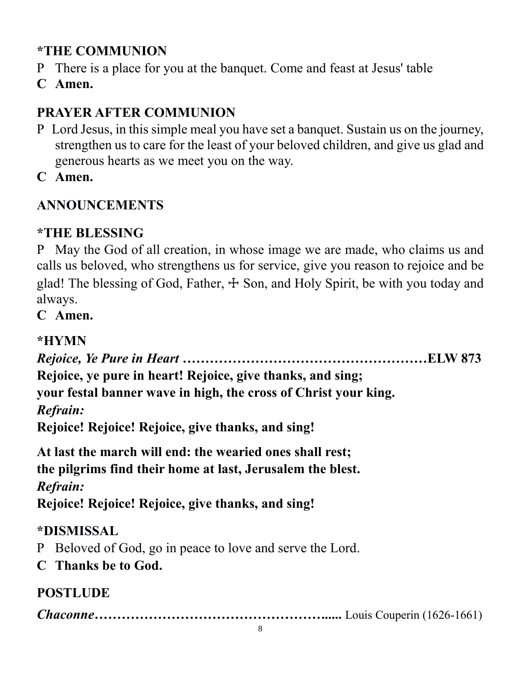# **\*THE COMMUNION**

- P There is a place for you at the banquet. Come and feast at Jesus' table
- **C Amen.**

# **PRAYER AFTER COMMUNION**

- P Lord Jesus, in this simple meal you have set a banquet. Sustain us on the journey, strengthen us to care for the least of your beloved children, and give us glad and generous hearts as we meet you on the way.
- **C Amen.**

# **ANNOUNCEMENTS**

# **\*THE BLESSING**

P May the God of all creation, in whose image we are made, who claims us and calls us beloved, who strengthens us for service, give you reason to rejoice and be glad! The blessing of God, Father,  $\pm$  Son, and Holy Spirit, be with you today and always.

**C Amen.**

# **\*HYMN**

*Rejoice, Ye Pure in Heart …………***……………………………………ELW 873 Rejoice, ye pure in heart! Rejoice, give thanks, and sing; your festal banner wave in high, the cross of Christ your king.** *Refrain:* **Rejoice! Rejoice! Rejoice, give thanks, and sing! At last the march will end: the wearied ones shall rest; the pilgrims find their home at last, Jerusalem the blest.** *Refrain:* **Rejoice! Rejoice! Rejoice, give thanks, and sing! \*DISMISSAL** P Beloved of God, go in peace to love and serve the Lord. **C Thanks be to God. POSTLUDE**

*Chaconne…………………………………………….....* Louis Couperin (1626-1661)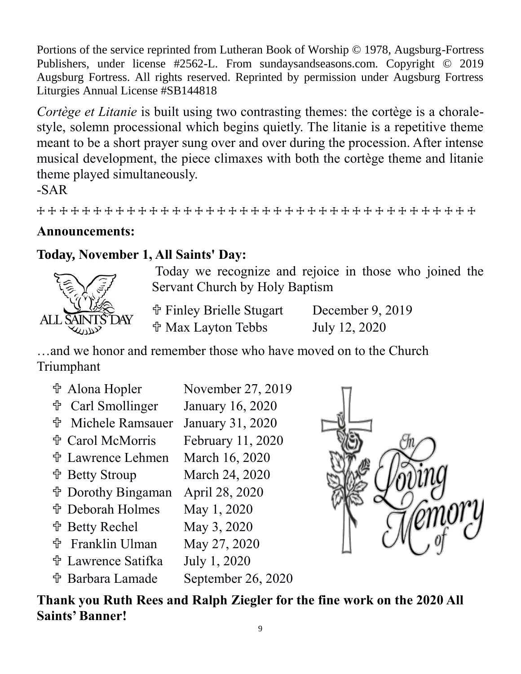Portions of the service reprinted from Lutheran Book of Worship © 1978, Augsburg-Fortress Publishers, under license #2562-L. From sundaysandseasons.com. Copyright © 2019 Augsburg Fortress. All rights reserved. Reprinted by permission under Augsburg Fortress Liturgies Annual License #SB144818

*Cortège et Litanie* is built using two contrasting themes: the cortège is a choralestyle, solemn processional which begins quietly. The litanie is a repetitive theme meant to be a short prayer sung over and over during the procession. After intense musical development, the piece climaxes with both the cortège theme and litanie theme played simultaneously.

-SAR

☩ ☩ ☩ ☩ ☩ ☩ ☩ ☩ ☩ ☩ ☩ ☩ ☩ ☩ ☩ ☩ ☩ ☩ ☩ ☩ ☩ ☩ ☩ ☩ ☩ ☩ ☩ ☩ ☩ ☩ ☩ ☩ ☩ ☩ ☩ ☩ ☩ ☩ ☩

### **Announcements:**

### **Today, November 1, All Saints' Day:**



Today we recognize and rejoice in those who joined the Servant Church by Holy Baptism

 Finley Brielle Stugart December 9, 2019 Max Layton Tebbs July 12, 2020

…and we honor and remember those who have moved on to the Church Triumphant

 Alona Hopler November 27, 2019 Carl Smollinger January 16, 2020 Michele Ramsauer January 31, 2020 Carol McMorris February 11, 2020 Lawrence Lehmen March 16, 2020 Betty Stroup March 24, 2020 Dorothy Bingaman April 28, 2020 Deborah Holmes May 1, 2020 Betty Rechel May 3, 2020 Franklin Ulman May 27, 2020 Lawrence Satifka July 1, 2020 Barbara Lamade September 26, 2020



**Thank you Ruth Rees and Ralph Ziegler for the fine work on the 2020 All Saints' Banner!**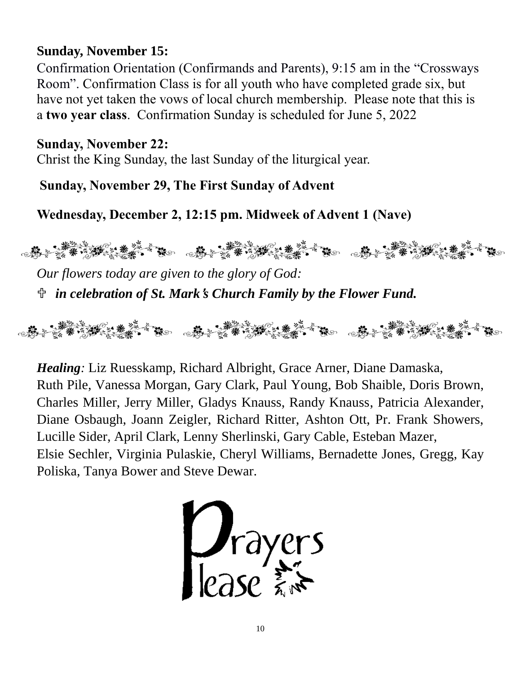### **Sunday, November 15:**

Confirmation Orientation (Confirmands and Parents), 9:15 am in the "Crossways Room". Confirmation Class is for all youth who have completed grade six, but have not yet taken the vows of local church membership. Please note that this is a **two year class**. Confirmation Sunday is scheduled for June 5, 2022

### **Sunday, November 22:**

Christ the King Sunday, the last Sunday of the liturgical year.

**Sunday, November 29, The First Sunday of Advent**

**Wednesday, December 2, 12:15 pm. Midweek of Advent 1 (Nave)**



*Our flowers today are given to the glory of God: in celebration of St. Mark*'*s Church Family by the Flower Fund.*

*Healing:* Liz Ruesskamp, Richard Albright, Grace Arner, Diane Damaska, Ruth Pile, Vanessa Morgan, Gary Clark, Paul Young, Bob Shaible, Doris Brown, Charles Miller, Jerry Miller, Gladys Knauss, Randy Knauss, Patricia Alexander, Diane Osbaugh, Joann Zeigler, Richard Ritter, Ashton Ott, Pr. Frank Showers, Lucille Sider, April Clark, Lenny Sherlinski, Gary Cable, Esteban Mazer, Elsie Sechler, Virginia Pulaskie, Cheryl Williams, Bernadette Jones, Gregg, Kay Poliska, Tanya Bower and Steve Dewar.